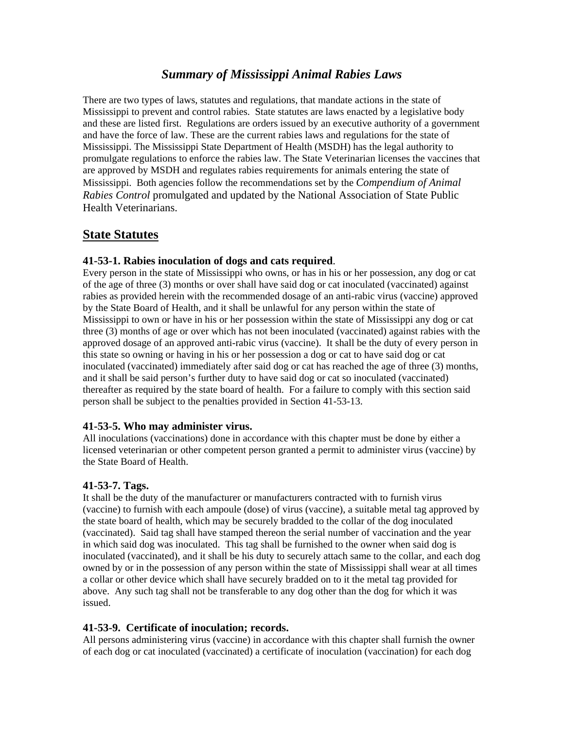# *Summary of Mississippi Animal Rabies Laws*

There are two types of laws, statutes and regulations, that mandate actions in the state of Mississippi to prevent and control rabies. State statutes are laws enacted by a legislative body and these are listed first. Regulations are orders issued by an executive authority of a government and have the force of law. These are the current rabies laws and regulations for the state of Mississippi. The Mississippi State Department of Health (MSDH) has the legal authority to promulgate regulations to enforce the rabies law. The State Veterinarian licenses the vaccines that are approved by MSDH and regulates rabies requirements for animals entering the state of Mississippi. Both agencies follow the recommendations set by the *Compendium of Animal Rabies Control* promulgated and updated by the National Association of State Public Health Veterinarians.

# **State Statutes**

## **41-53-1. Rabies inoculation of dogs and cats required**.

Every person in the state of Mississippi who owns, or has in his or her possession, any dog or cat of the age of three (3) months or over shall have said dog or cat inoculated (vaccinated) against rabies as provided herein with the recommended dosage of an anti-rabic virus (vaccine) approved by the State Board of Health, and it shall be unlawful for any person within the state of Mississippi to own or have in his or her possession within the state of Mississippi any dog or cat three (3) months of age or over which has not been inoculated (vaccinated) against rabies with the approved dosage of an approved anti-rabic virus (vaccine). It shall be the duty of every person in this state so owning or having in his or her possession a dog or cat to have said dog or cat inoculated (vaccinated) immediately after said dog or cat has reached the age of three (3) months, and it shall be said person's further duty to have said dog or cat so inoculated (vaccinated) thereafter as required by the state board of health. For a failure to comply with this section said person shall be subject to the penalties provided in Section 41-53-13.

## **41-53-5. Who may administer virus.**

All inoculations (vaccinations) done in accordance with this chapter must be done by either a licensed veterinarian or other competent person granted a permit to administer virus (vaccine) by the State Board of Health.

## **41-53-7. Tags.**

It shall be the duty of the manufacturer or manufacturers contracted with to furnish virus (vaccine) to furnish with each ampoule (dose) of virus (vaccine), a suitable metal tag approved by the state board of health, which may be securely bradded to the collar of the dog inoculated (vaccinated). Said tag shall have stamped thereon the serial number of vaccination and the year in which said dog was inoculated. This tag shall be furnished to the owner when said dog is inoculated (vaccinated), and it shall be his duty to securely attach same to the collar, and each dog owned by or in the possession of any person within the state of Mississippi shall wear at all times a collar or other device which shall have securely bradded on to it the metal tag provided for above. Any such tag shall not be transferable to any dog other than the dog for which it was issued.

## **41-53-9. Certificate of inoculation; records.**

All persons administering virus (vaccine) in accordance with this chapter shall furnish the owner of each dog or cat inoculated (vaccinated) a certificate of inoculation (vaccination) for each dog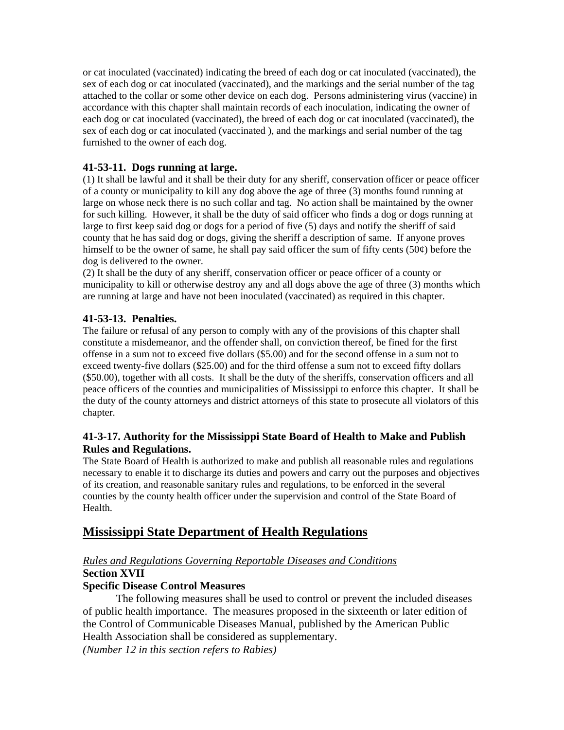or cat inoculated (vaccinated) indicating the breed of each dog or cat inoculated (vaccinated), the sex of each dog or cat inoculated (vaccinated), and the markings and the serial number of the tag attached to the collar or some other device on each dog. Persons administering virus (vaccine) in accordance with this chapter shall maintain records of each inoculation, indicating the owner of each dog or cat inoculated (vaccinated), the breed of each dog or cat inoculated (vaccinated), the sex of each dog or cat inoculated (vaccinated ), and the markings and serial number of the tag furnished to the owner of each dog.

## **41-53-11. Dogs running at large.**

(1) It shall be lawful and it shall be their duty for any sheriff, conservation officer or peace officer of a county or municipality to kill any dog above the age of three (3) months found running at large on whose neck there is no such collar and tag. No action shall be maintained by the owner for such killing. However, it shall be the duty of said officer who finds a dog or dogs running at large to first keep said dog or dogs for a period of five (5) days and notify the sheriff of said county that he has said dog or dogs, giving the sheriff a description of same. If anyone proves himself to be the owner of same, he shall pay said officer the sum of fifty cents  $(50¢)$  before the dog is delivered to the owner.

(2) It shall be the duty of any sheriff, conservation officer or peace officer of a county or municipality to kill or otherwise destroy any and all dogs above the age of three (3) months which are running at large and have not been inoculated (vaccinated) as required in this chapter.

## **41-53-13. Penalties.**

The failure or refusal of any person to comply with any of the provisions of this chapter shall constitute a misdemeanor, and the offender shall, on conviction thereof, be fined for the first offense in a sum not to exceed five dollars (\$5.00) and for the second offense in a sum not to exceed twenty-five dollars (\$25.00) and for the third offense a sum not to exceed fifty dollars (\$50.00), together with all costs. It shall be the duty of the sheriffs, conservation officers and all peace officers of the counties and municipalities of Mississippi to enforce this chapter. It shall be the duty of the county attorneys and district attorneys of this state to prosecute all violators of this chapter.

## **41-3-17. Authority for the Mississippi State Board of Health to Make and Publish Rules and Regulations.**

The State Board of Health is authorized to make and publish all reasonable rules and regulations necessary to enable it to discharge its duties and powers and carry out the purposes and objectives of its creation, and reasonable sanitary rules and regulations, to be enforced in the several counties by the county health officer under the supervision and control of the State Board of Health.

# **Mississippi State Department of Health Regulations**

## *Rules and Regulations Governing Reportable Diseases and Conditions*

## **Section XVII**

## **Specific Disease Control Measures**

The following measures shall be used to control or prevent the included diseases of public health importance. The measures proposed in the sixteenth or later edition of the Control of Communicable Diseases Manual, published by the American Public Health Association shall be considered as supplementary. *(Number 12 in this section refers to Rabies)*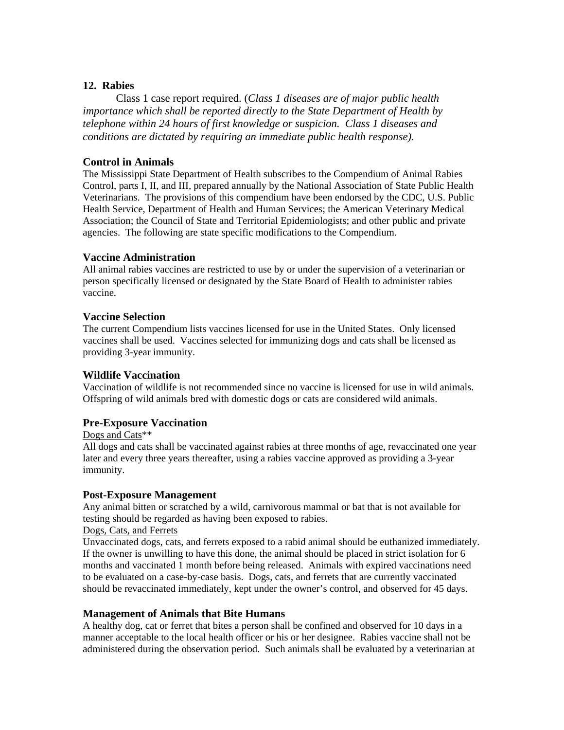## **12. Rabies**

Class 1 case report required. (*Class 1 diseases are of major public health importance which shall be reported directly to the State Department of Health by telephone within 24 hours of first knowledge or suspicion. Class 1 diseases and conditions are dictated by requiring an immediate public health response).*

#### **Control in Animals**

The Mississippi State Department of Health subscribes to the Compendium of Animal Rabies Control, parts I, II, and III, prepared annually by the National Association of State Public Health Veterinarians. The provisions of this compendium have been endorsed by the CDC, U.S. Public Health Service, Department of Health and Human Services; the American Veterinary Medical Association; the Council of State and Territorial Epidemiologists; and other public and private agencies. The following are state specific modifications to the Compendium.

#### **Vaccine Administration**

All animal rabies vaccines are restricted to use by or under the supervision of a veterinarian or person specifically licensed or designated by the State Board of Health to administer rabies vaccine.

#### **Vaccine Selection**

The current Compendium lists vaccines licensed for use in the United States. Only licensed vaccines shall be used. Vaccines selected for immunizing dogs and cats shall be licensed as providing 3-year immunity.

#### **Wildlife Vaccination**

Vaccination of wildlife is not recommended since no vaccine is licensed for use in wild animals. Offspring of wild animals bred with domestic dogs or cats are considered wild animals.

## **Pre-Exposure Vaccination**

Dogs and Cats\*\*

All dogs and cats shall be vaccinated against rabies at three months of age, revaccinated one year later and every three years thereafter, using a rabies vaccine approved as providing a 3-year immunity.

#### **Post-Exposure Management**

Any animal bitten or scratched by a wild, carnivorous mammal or bat that is not available for testing should be regarded as having been exposed to rabies.

#### Dogs, Cats, and Ferrets

Unvaccinated dogs, cats, and ferrets exposed to a rabid animal should be euthanized immediately. If the owner is unwilling to have this done, the animal should be placed in strict isolation for 6 months and vaccinated 1 month before being released. Animals with expired vaccinations need to be evaluated on a case-by-case basis. Dogs, cats, and ferrets that are currently vaccinated should be revaccinated immediately, kept under the owner's control, and observed for 45 days.

#### **Management of Animals that Bite Humans**

A healthy dog, cat or ferret that bites a person shall be confined and observed for 10 days in a manner acceptable to the local health officer or his or her designee. Rabies vaccine shall not be administered during the observation period. Such animals shall be evaluated by a veterinarian at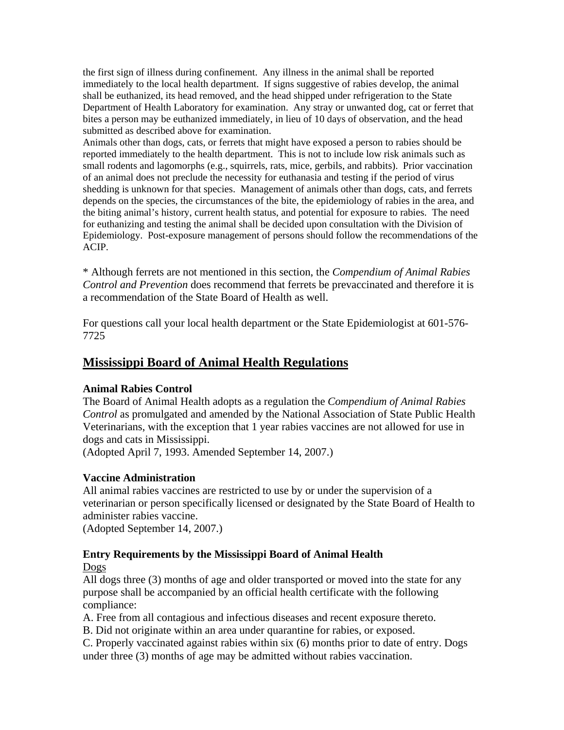the first sign of illness during confinement. Any illness in the animal shall be reported immediately to the local health department. If signs suggestive of rabies develop, the animal shall be euthanized, its head removed, and the head shipped under refrigeration to the State Department of Health Laboratory for examination. Any stray or unwanted dog, cat or ferret that bites a person may be euthanized immediately, in lieu of 10 days of observation, and the head submitted as described above for examination.

Animals other than dogs, cats, or ferrets that might have exposed a person to rabies should be reported immediately to the health department. This is not to include low risk animals such as small rodents and lagomorphs (e.g., squirrels, rats, mice, gerbils, and rabbits). Prior vaccination of an animal does not preclude the necessity for euthanasia and testing if the period of virus shedding is unknown for that species. Management of animals other than dogs, cats, and ferrets depends on the species, the circumstances of the bite, the epidemiology of rabies in the area, and the biting animal's history, current health status, and potential for exposure to rabies. The need for euthanizing and testing the animal shall be decided upon consultation with the Division of Epidemiology. Post-exposure management of persons should follow the recommendations of the ACIP.

\* Although ferrets are not mentioned in this section, the *Compendium of Animal Rabies Control and Prevention* does recommend that ferrets be prevaccinated and therefore it is a recommendation of the State Board of Health as well.

For questions call your local health department or the State Epidemiologist at 601-576- 7725

# **Mississippi Board of Animal Health Regulations**

## **Animal Rabies Control**

The Board of Animal Health adopts as a regulation the *Compendium of Animal Rabies Control* as promulgated and amended by the National Association of State Public Health Veterinarians, with the exception that 1 year rabies vaccines are not allowed for use in dogs and cats in Mississippi.

(Adopted April 7, 1993. Amended September 14, 2007.)

## **Vaccine Administration**

All animal rabies vaccines are restricted to use by or under the supervision of a veterinarian or person specifically licensed or designated by the State Board of Health to administer rabies vaccine.

(Adopted September 14, 2007.)

## **Entry Requirements by the Mississippi Board of Animal Health**

## Dogs

All dogs three (3) months of age and older transported or moved into the state for any purpose shall be accompanied by an official health certificate with the following compliance:

A. Free from all contagious and infectious diseases and recent exposure thereto.

B. Did not originate within an area under quarantine for rabies, or exposed.

C. Properly vaccinated against rabies within six (6) months prior to date of entry. Dogs under three (3) months of age may be admitted without rabies vaccination.